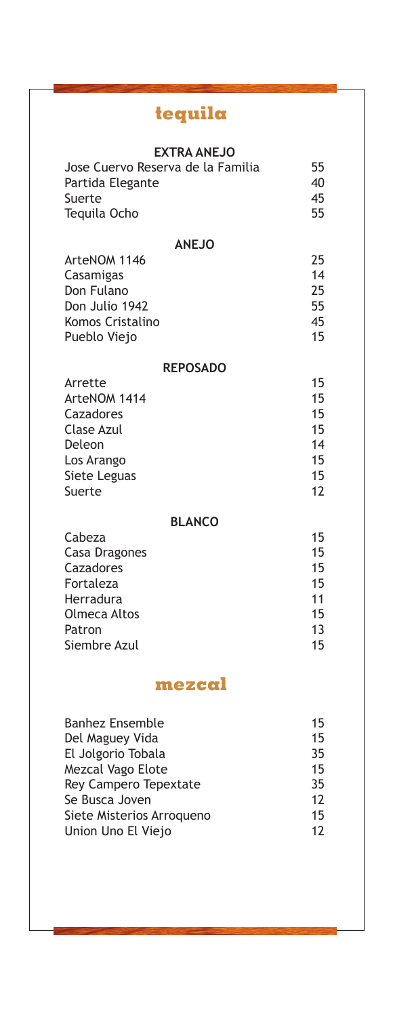# **tequila**

| <b>EXTRA ANEJO</b><br>Jose Cuervo Reserva de la Familia<br>Partida Elegante<br>Suerte<br>Tequila Ocho                                                                              | 55<br>40<br>45<br>55                         |  |
|------------------------------------------------------------------------------------------------------------------------------------------------------------------------------------|----------------------------------------------|--|
| <b>ANEJO</b><br>ArteNOM 1146<br>Casamigas<br>Don Fulano<br>Don Julio 1942<br>Komos Cristalino<br>Pueblo Viejo                                                                      | 25<br>14<br>25<br>55<br>45<br>15             |  |
| <b>REPOSADO</b>                                                                                                                                                                    |                                              |  |
| Arrette<br>ArteNOM 1414<br>Cazadores<br><b>Clase Azul</b><br>Deleon<br>Los Arango<br>Siete Leguas<br>Suerte                                                                        | 15<br>15<br>15<br>15<br>14<br>15<br>15<br>12 |  |
| <b>BLANCO</b>                                                                                                                                                                      |                                              |  |
| Cabeza<br>Casa Dragones<br>Cazadores<br>Fortaleza<br>Herradura<br>Olmeca Altos<br>Patron<br>Siembre Azul                                                                           | 15<br>15<br>15<br>15<br>11<br>15<br>13<br>15 |  |
| mezcal                                                                                                                                                                             |                                              |  |
| <b>Banhez Ensemble</b><br>Del Maguey Vida<br>El Jolgorio Tobala<br>Mezcal Vago Elote<br>Rey Campero Tepextate<br>Se Busca Joven<br>Siete Misterios Arroqueno<br>Union Uno El Viejo | 15<br>15<br>35<br>15<br>35<br>12<br>15<br>12 |  |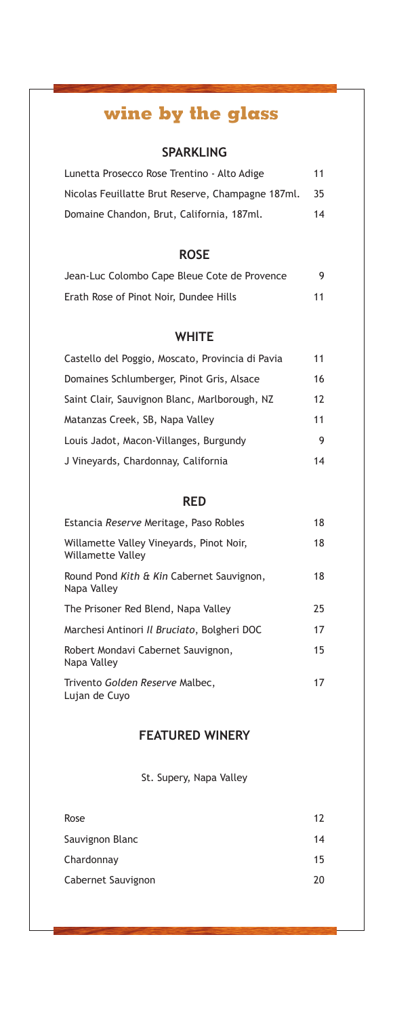## **wine by the glass**

## **SPARKLING**

| Lunetta Prosecco Rose Trentino - Alto Adige       | 11 |
|---------------------------------------------------|----|
| Nicolas Feuillatte Brut Reserve, Champagne 187ml. | 35 |
| Domaine Chandon, Brut, California, 187ml.         | 14 |

## **ROSE**

| Jean-Luc Colombo Cape Bleue Cote de Provence | 9  |
|----------------------------------------------|----|
| Erath Rose of Pinot Noir, Dundee Hills       | 11 |

**WHITE**

| Castello del Poggio, Moscato, Provincia di Pavia | 11 |
|--------------------------------------------------|----|
| Domaines Schlumberger, Pinot Gris, Alsace        | 16 |
| Saint Clair, Sauvignon Blanc, Marlborough, NZ    | 12 |
| Matanzas Creek, SB, Napa Valley                  | 11 |
| Louis Jadot, Macon-Villanges, Burgundy           | 9  |
| J Vineyards, Chardonnay, California              | 14 |

## **RED**

| Estancia Reserve Meritage, Paso Robles                        | 18 |
|---------------------------------------------------------------|----|
| Willamette Valley Vineyards, Pinot Noir,<br>Willamette Valley | 18 |
| Round Pond Kith & Kin Cabernet Sauvignon,<br>Napa Valley      | 18 |
| The Prisoner Red Blend, Napa Valley                           | 25 |
| Marchesi Antinori Il Bruciato, Bolgheri DOC                   | 17 |
| Robert Mondavi Cabernet Sauvignon,<br>Napa Valley             | 15 |
| Trivento Golden Reserve Malbec,<br>Lujan de Cuyo              | 17 |

## **FEATURED WINERY**

St. Supery, Napa Valley

| Rose               | 12 |
|--------------------|----|
| Sauvignon Blanc    | 14 |
| Chardonnay         | 15 |
| Cabernet Sauvignon | 20 |